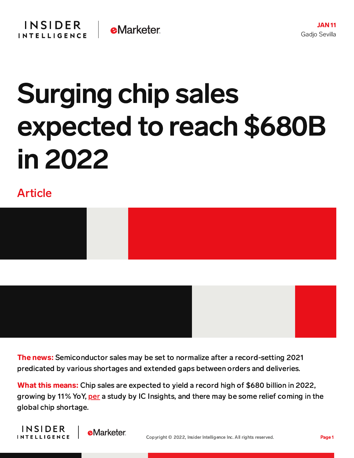## Surging chip sales expected to reach \$680B in 2022

## Article



The news: Semiconductor sales may be set to normalize after a record-setting 2021 predicated by various shortages and extended gaps between orders and deliveries.

What this means: Chip sales are expected to yield a record high of \$680 billion in 2022, growing by 11% YoY, [per](https://www.theregister.com/2022/01/10/chip_growth_this_year/) a study by IC Insights, and there may be some relief coming in the global chip shortage.